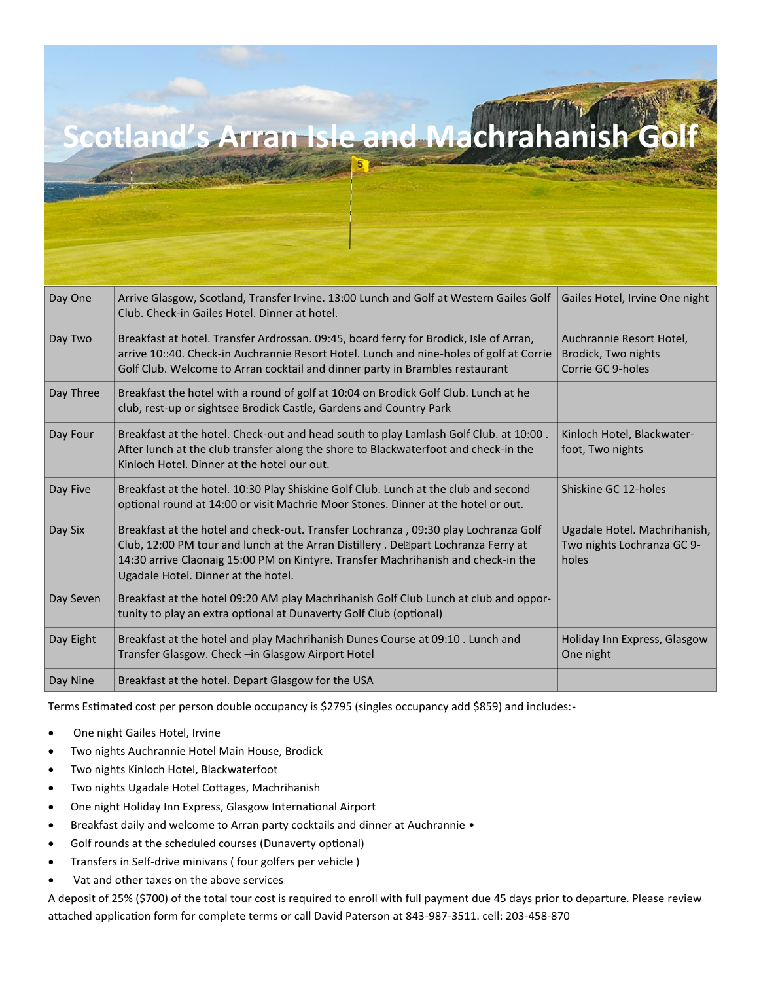| Day One   | Arrive Glasgow, Scotland, Transfer Irvine. 13:00 Lunch and Golf at Western Gailes Golf<br>Club. Check-in Gailes Hotel. Dinner at hotel.                                              | Gailes Hotel, Irvine One night           |
|-----------|--------------------------------------------------------------------------------------------------------------------------------------------------------------------------------------|------------------------------------------|
| Day Two   | Breakfast at hotel. Transfer Ardrossan. 09:45, board ferry for Brodick, Isle of Arran,                                                                                               | Auchrannie Resort Hotel,                 |
|           | arrive 10::40. Check-in Auchrannie Resort Hotel. Lunch and nine-holes of golf at Corrie<br>Golf Club. Welcome to Arran cocktail and dinner party in Brambles restaurant              | Brodick, Two nights<br>Corrie GC 9-holes |
| Day Three | Breakfast the hotel with a round of golf at 10:04 on Brodick Golf Club. Lunch at he                                                                                                  |                                          |
|           | club, rest-up or sightsee Brodick Castle, Gardens and Country Park                                                                                                                   |                                          |
| Day Four  | Breakfast at the hotel. Check-out and head south to play Lamlash Golf Club. at 10:00.                                                                                                | Kinloch Hotel, Blackwater-               |
|           | After lunch at the club transfer along the shore to Blackwaterfoot and check-in the<br>Kinloch Hotel. Dinner at the hotel our out.                                                   | foot, Two nights                         |
| Day Five  | Breakfast at the hotel. 10:30 Play Shiskine Golf Club. Lunch at the club and second                                                                                                  | Shiskine GC 12-holes                     |
|           | optional round at 14:00 or visit Machrie Moor Stones. Dinner at the hotel or out.                                                                                                    |                                          |
| Day Six   | Breakfast at the hotel and check-out. Transfer Lochranza , 09:30 play Lochranza Golf                                                                                                 | Ugadale Hotel. Machrihanish,             |
|           | Club, 12:00 PM tour and lunch at the Arran Distillery . De <sup>n</sup> part Lochranza Ferry at<br>14:30 arrive Claonaig 15:00 PM on Kintyre. Transfer Machrihanish and check-in the | Two nights Lochranza GC 9-<br>holes      |
|           | Ugadale Hotel. Dinner at the hotel.                                                                                                                                                  |                                          |
| Day Seven | Breakfast at the hotel 09:20 AM play Machrihanish Golf Club Lunch at club and oppor-                                                                                                 |                                          |
|           | tunity to play an extra optional at Dunaverty Golf Club (optional)                                                                                                                   |                                          |
| Day Eight | Breakfast at the hotel and play Machrihanish Dunes Course at 09:10 . Lunch and                                                                                                       | Holiday Inn Express, Glasgow             |
|           | Transfer Glasgow. Check - in Glasgow Airport Hotel                                                                                                                                   | One night                                |
| Day Nine  | Breakfast at the hotel. Depart Glasgow for the USA                                                                                                                                   |                                          |

Terms Estimated cost per person double occupancy is \$2795 (singles occupancy add \$859) and includes:-

**Scotland's Arran Isle and Machrah** 

- One night Gailes Hotel, Irvine
- Two nights Auchrannie Hotel Main House, Brodick
- Two nights Kinloch Hotel, Blackwaterfoot
- Two nights Ugadale Hotel Cottages, Machrihanish
- One night Holiday Inn Express, Glasgow International Airport
- Breakfast daily and welcome to Arran party cocktails and dinner at Auchrannie •
- Golf rounds at the scheduled courses (Dunaverty optional)
- Transfers in Self-drive minivans ( four golfers per vehicle )
- Vat and other taxes on the above services

A deposit of 25% (\$700) of the total tour cost is required to enroll with full payment due 45 days prior to departure. Please review attached application form for complete terms or call David Paterson at 843-987-3511. cell: 203-458-870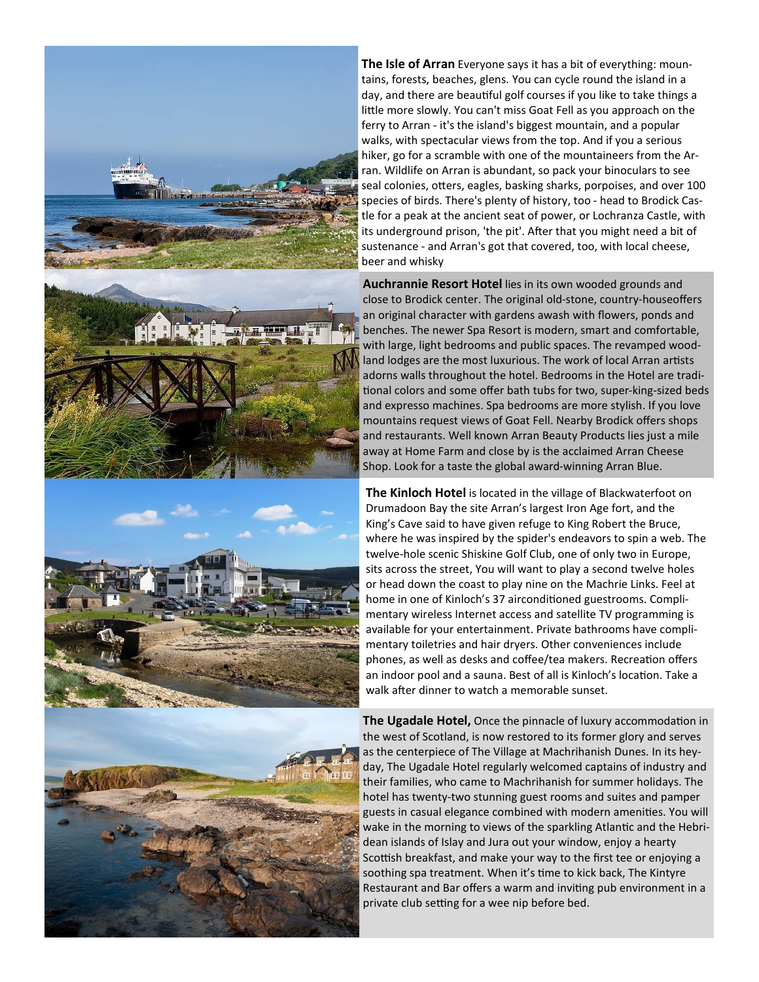







**The Isle of Arran** Everyone says it has a bit of everything: mountains, forests, beaches, glens. You can cycle round the island in a day, and there are beautiful golf courses if you like to take things a little more slowly. You can't miss Goat Fell as you approach on the ferry to Arran - it's the island's biggest mountain, and a popular walks, with spectacular views from the top. And if you a serious hiker, go for a scramble with one of the mountaineers from the Arran. Wildlife on Arran is abundant, so pack your binoculars to see seal colonies, otters, eagles, basking sharks, porpoises, and over 100 species of birds. There's plenty of history, too - head to Brodick Castle for a peak at the ancient seat of power, or Lochranza Castle, with its underground prison, 'the pit'. After that you might need a bit of sustenance - and Arran's got that covered, too, with local cheese, beer and whisky

**Auchrannie Resort Hotel** lies in its own wooded grounds and close to Brodick center. The original old-stone, country-houseoffers an original character with gardens awash with flowers, ponds and benches. The newer Spa Resort is modern, smart and comfortable, with large, light bedrooms and public spaces. The revamped woodland lodges are the most luxurious. The work of local Arran artists adorns walls throughout the hotel. Bedrooms in the Hotel are traditional colors and some offer bath tubs for two, super-king-sized beds and expresso machines. Spa bedrooms are more stylish. If you love mountains request views of Goat Fell. Nearby Brodick offers shops and restaurants. Well known Arran Beauty Products lies just a mile away at Home Farm and close by is the acclaimed Arran Cheese Shop. Look for a taste the global award-winning Arran Blue.

**The Kinloch Hotel** is located in the village of Blackwaterfoot on Drumadoon Bay the site Arran's largest Iron Age fort, and the King's Cave said to have given refuge to King Robert the Bruce, where he was inspired by the spider's endeavors to spin a web. The twelve-hole scenic Shiskine Golf Club, one of only two in Europe, sits across the street, You will want to play a second twelve holes or head down the coast to play nine on the Machrie Links. Feel at home in one of Kinloch's 37 airconditioned guestrooms. Complimentary wireless Internet access and satellite TV programming is available for your entertainment. Private bathrooms have complimentary toiletries and hair dryers. Other conveniences include phones, as well as desks and coffee/tea makers. Recreation offers an indoor pool and a sauna. Best of all is Kinloch's location. Take a walk after dinner to watch a memorable sunset.

**The Ugadale Hotel,** Once the pinnacle of luxury accommodation in the west of Scotland, is now restored to its former glory and serves as the centerpiece of The Village at Machrihanish Dunes. In its heyday, The Ugadale Hotel regularly welcomed captains of industry and their families, who came to Machrihanish for summer holidays. The hotel has twenty-two stunning guest rooms and suites and pamper guests in casual elegance combined with modern amenities. You will wake in the morning to views of the sparkling Atlantic and the Hebridean islands of Islay and Jura out your window, enjoy a hearty Scottish breakfast, and make your way to the first tee or enjoying a soothing spa treatment. When it's time to kick back, The Kintyre Restaurant and Bar offers a warm and inviting pub environment in a private club setting for a wee nip before bed.